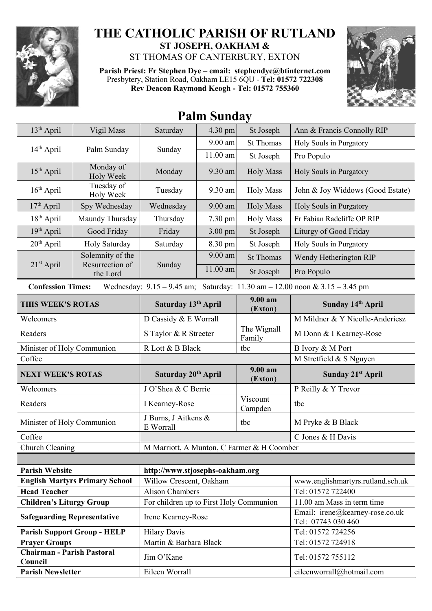

## **THE CATHOLIC PARISH OF RUTLAND ST JOSEPH, OAKHAM &**

ST THOMAS OF CANTERBURY, EXTON

**Parish Priest: Fr Stephen Dye** – **[email: stephendye@btinternet.com](mailto:email:%20%20stephendye@btinternet.com)** Presbytery, Station Road, Oakham LE15 6QU - **Tel: 01572 722308 Rev Deacon Raymond Keogh - Tel: 01572 755360**



## **Palm Sunday**

| 13 <sup>th</sup> April                                                   | Vigil Mass                                                                                                      | Saturday                                   | 4.30 pm    | St Joseph             | Ann & Francis Connolly RIP                            |  |  |
|--------------------------------------------------------------------------|-----------------------------------------------------------------------------------------------------------------|--------------------------------------------|------------|-----------------------|-------------------------------------------------------|--|--|
| $14th$ April                                                             | Palm Sunday                                                                                                     |                                            | 9.00 am    | <b>St Thomas</b>      | Holy Souls in Purgatory                               |  |  |
|                                                                          |                                                                                                                 | Sunday                                     | $11.00$ am | St Joseph             | Pro Populo                                            |  |  |
| $15th$ April                                                             | Monday of<br><b>Holy Week</b>                                                                                   | Monday                                     | 9.30 am    | <b>Holy Mass</b>      | Holy Souls in Purgatory                               |  |  |
| $16th$ April                                                             | Tuesday of<br>Holy Week                                                                                         | Tuesday                                    | 9.30 am    | <b>Holy Mass</b>      | John & Joy Widdows (Good Estate)                      |  |  |
| $17th$ April                                                             | Spy Wednesday                                                                                                   | Wednesday                                  | 9.00 am    | <b>Holy Mass</b>      | Holy Souls in Purgatory                               |  |  |
| $18th$ April                                                             | Maundy Thursday                                                                                                 | Thursday                                   | 7.30 pm    | <b>Holy Mass</b>      | Fr Fabian Radcliffe OP RIP                            |  |  |
| 19th April                                                               | Good Friday                                                                                                     | Friday                                     | 3.00 pm    | St Joseph             | Liturgy of Good Friday                                |  |  |
| $20th$ April                                                             | Holy Saturday                                                                                                   | Saturday                                   | 8.30 pm    | St Joseph             | Holy Souls in Purgatory                               |  |  |
|                                                                          | Solemnity of the                                                                                                |                                            | 9.00 am    | <b>St Thomas</b>      | Wendy Hetherington RIP                                |  |  |
| $21st$ April                                                             | Resurrection of<br>the Lord                                                                                     | Sunday                                     | 11.00 am   | St Joseph             | Pro Populo                                            |  |  |
|                                                                          | Wednesday: $9.15 - 9.45$ am; Saturday: $11.30$ am $- 12.00$ noon & $3.15 - 3.45$ pm<br><b>Confession Times:</b> |                                            |            |                       |                                                       |  |  |
| THIS WEEK'S ROTAS                                                        |                                                                                                                 | Saturday 13th April                        |            | 9.00 am<br>(Exton)    | Sunday 14th April                                     |  |  |
| Welcomers                                                                |                                                                                                                 | D Cassidy & E Worrall                      |            |                       | M Mildner & Y Nicolle-Anderiesz                       |  |  |
| Readers                                                                  |                                                                                                                 | S Taylor & R Streeter                      |            | The Wignall<br>Family | M Donn & I Kearney-Rose                               |  |  |
| Minister of Holy Communion                                               |                                                                                                                 | R Lott & B Black                           |            | tbc                   | B Ivory & M Port                                      |  |  |
|                                                                          |                                                                                                                 |                                            |            |                       |                                                       |  |  |
| Coffee                                                                   |                                                                                                                 |                                            |            |                       | M Stretfield & S Nguyen                               |  |  |
| <b>NEXT WEEK'S ROTAS</b>                                                 |                                                                                                                 | Saturday 20 <sup>th</sup> April            |            | 9.00 am<br>(Exton)    | Sunday 21 <sup>st</sup> April                         |  |  |
| Welcomers                                                                |                                                                                                                 | J O'Shea & C Berrie                        |            |                       | P Reilly & Y Trevor                                   |  |  |
| Readers                                                                  |                                                                                                                 | I Kearney-Rose                             |            | Viscount<br>Campden   | tbc                                                   |  |  |
| Minister of Holy Communion                                               |                                                                                                                 | J Burns, J Aitkens &<br>E Worrall          |            | tbc                   | M Pryke & B Black                                     |  |  |
| Coffee                                                                   |                                                                                                                 |                                            |            |                       | C Jones & H Davis                                     |  |  |
| Church Cleaning                                                          |                                                                                                                 | M Marriott, A Munton, C Farmer & H Coomber |            |                       |                                                       |  |  |
|                                                                          |                                                                                                                 |                                            |            |                       |                                                       |  |  |
| <b>Parish Website</b>                                                    |                                                                                                                 | http://www.stjosephs-oakham.org            |            |                       |                                                       |  |  |
|                                                                          | <b>English Martyrs Primary School</b>                                                                           | Willow Crescent, Oakham                    |            |                       | www.englishmartyrs.rutland.sch.uk                     |  |  |
| <b>Head Teacher</b>                                                      |                                                                                                                 | <b>Alison Chambers</b>                     |            |                       | Tel: 01572 722400                                     |  |  |
| <b>Children's Liturgy Group</b>                                          |                                                                                                                 | For children up to First Holy Communion    |            |                       | 11.00 am Mass in term time                            |  |  |
| <b>Safeguarding Representative</b>                                       |                                                                                                                 | Irene Kearney-Rose                         |            |                       | Email: irene@kearney-rose.co.uk<br>Tel: 07743 030 460 |  |  |
|                                                                          | <b>Parish Support Group - HELP</b>                                                                              | <b>Hilary Davis</b>                        |            |                       | Tel: 01572 724256                                     |  |  |
| <b>Prayer Groups</b>                                                     |                                                                                                                 | Martin & Barbara Black                     |            |                       | Tel: 01572 724918                                     |  |  |
| <b>Chairman - Parish Pastoral</b><br>Council<br><b>Parish Newsletter</b> |                                                                                                                 | Jim O'Kane<br>Eileen Worrall               |            |                       | Tel: 01572 755112                                     |  |  |